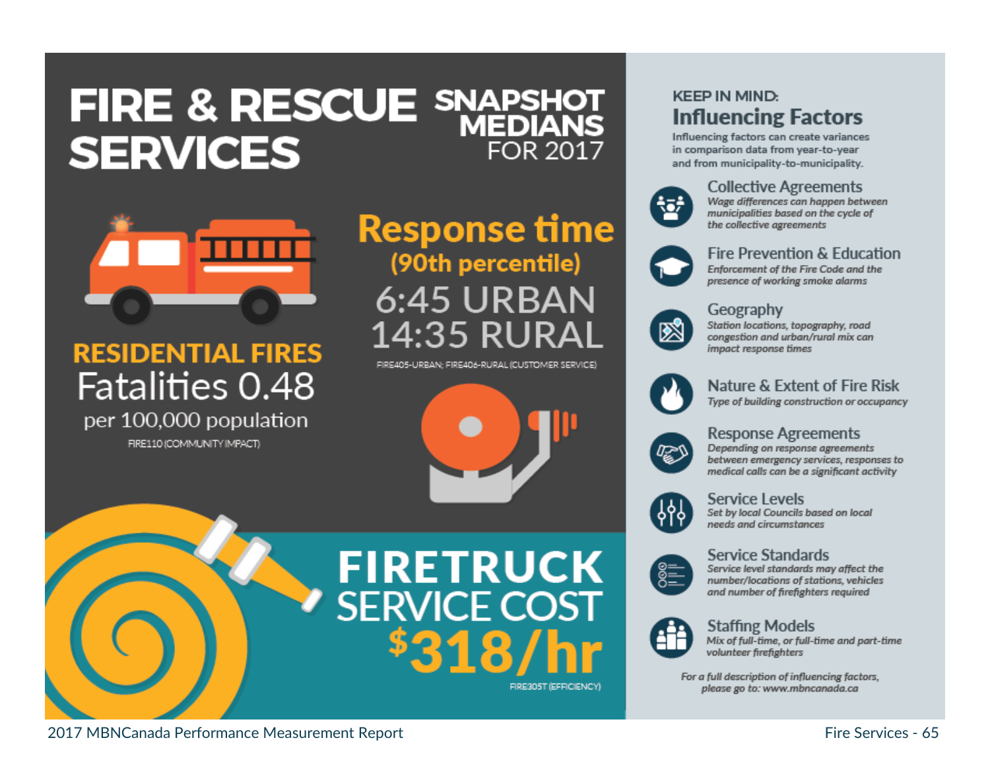## FIRE & RESCUE SNAPSHOT **SERVICES** FOR 2017



## **RESIDENTIAL FIRES** Fatalities 0.48 per 100,000 population

FIRE110 (COMMUNITY IMPACT)

## **Response time** (90th percentile) **6:45 URBAN** 14:35 RURAL

FIRE405-URBAN: FIRE406-RURAL (CUSTOMER SERVICE)



# **FIRETRUCK SERVICE COST**

FIRE305T (EFFICIENCY)

### **KEEP IN MIND: Influencing Factors**

Influencing factors can create variances in comparison data from year-to-year and from municipality-to-municipality.



#### **Collective Agreements**

Wage differences can happen between municipalities based on the cycle of the collective agreements



#### Fire Prevention & Education Enforcement of the Fire Code and the presence of working smoke alarms



#### Geography

Station locations, topography, road congestion and urban/rural mix can impact response times



#### Nature & Extent of Fire Risk

Type of building construction or occupancy



#### **Response Agreements**

Depending on response agreements between emergency services, responses to medical calls can be a significant activity



#### Service Levels

Set by local Councils based on local needs and circumstances

**Service Standards** Service level standards may affect the number/locations of stations, vehicles and number of firefighters required



#### **Staffing Models**

Mix of full-time, or full-time and part-time volunteer firefighters

For a full description of influencing factors, please go to: www.mbncanada.ca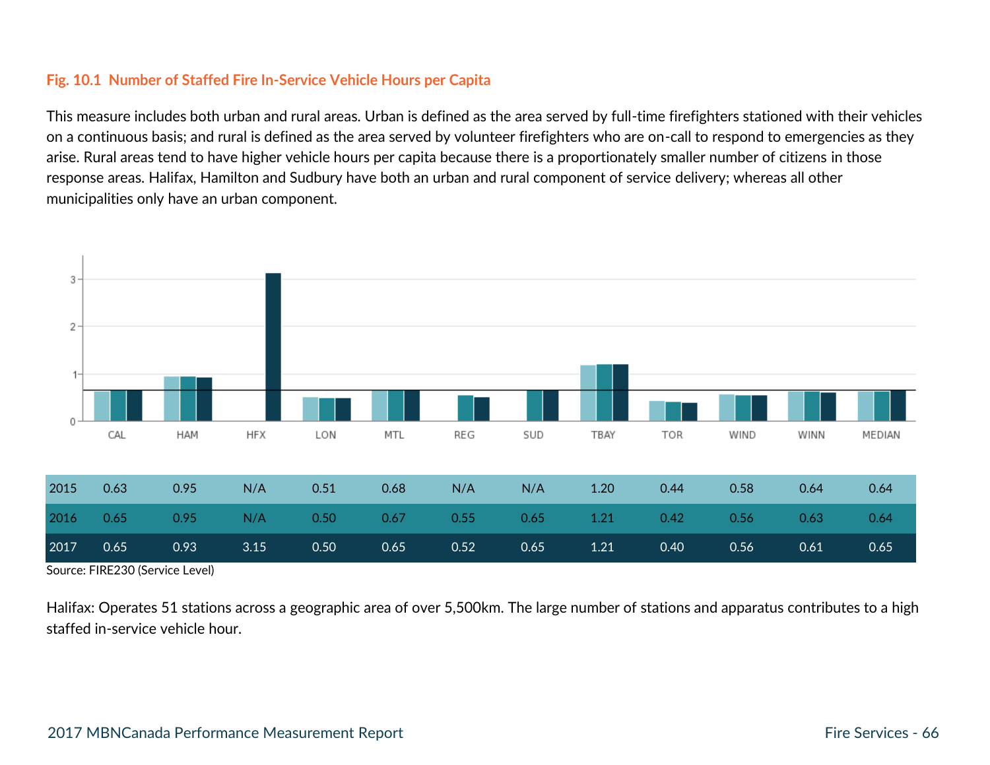#### **Fig. 10.1 Number of Staffed Fire In-Service Vehicle Hours per Capita**

This measure includes both urban and rural areas. Urban is defined as the area served by full-time firefighters stationed with their vehicles on a continuous basis; and rural is defined as the area served by volunteer firefighters who are on-call to respond to emergencies as they arise. Rural areas tend to have higher vehicle hours per capita because there is a proportionately smaller number of citizens in those response areas. Halifax, Hamilton and Sudbury have both an urban and rural component of service delivery; whereas all other municipalities only have an urban component.



Source: FIRE230 (Service Level)

Halifax: Operates 51 stations across a geographic area of over 5,500km. The large number of stations and apparatus contributes to a high staffed in-service vehicle hour.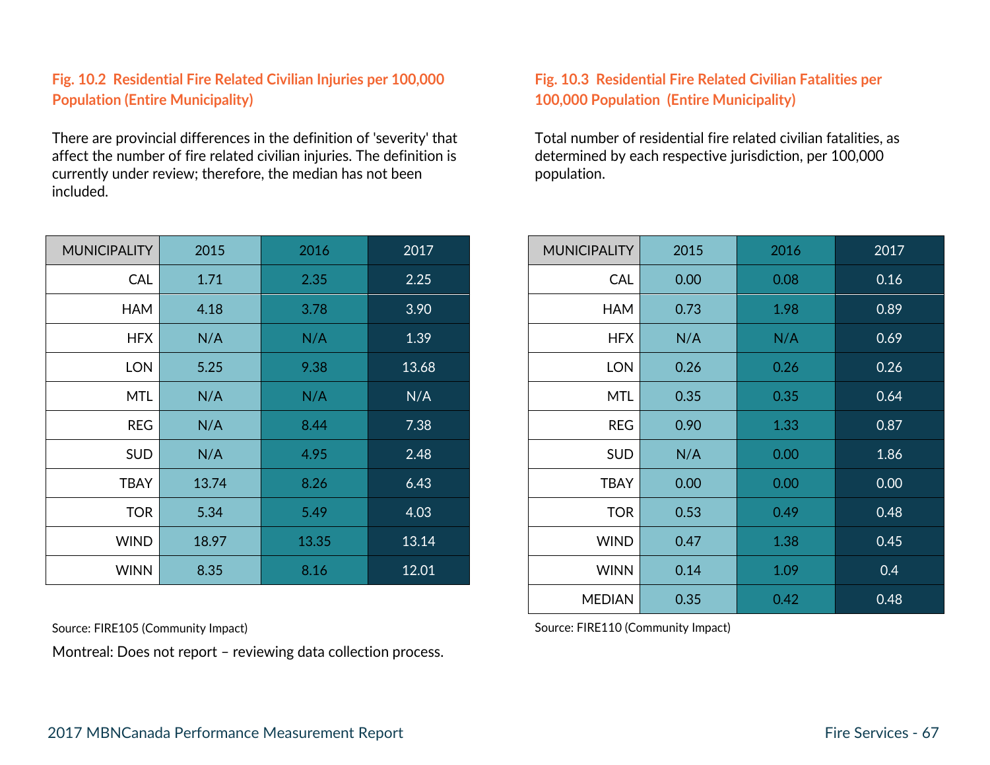#### **Fig. 10.2 Residential Fire Related Civilian Injuries per 100,000 Population (Entire Municipality)**

There are provincial differences in the definition of 'severity' that affect the number of fire related civilian injuries. The definition is currently under review; therefore, the median has not been included.

| <b>MUNICIPALITY</b> | 2015  | 2016  | 2017  | <b>MUNICIPALITY</b> | 2015 | 2016 | 2017 |
|---------------------|-------|-------|-------|---------------------|------|------|------|
| CAL                 | 1.71  | 2.35  | 2.25  | <b>CAL</b>          | 0.00 | 0.08 | 0.16 |
| HAM                 | 4.18  | 3.78  | 3.90  | <b>HAM</b>          | 0.73 | 1.98 | 0.89 |
| <b>HFX</b>          | N/A   | N/A   | 1.39  | <b>HFX</b>          | N/A  | N/A  | 0.69 |
| <b>LON</b>          | 5.25  | 9.38  | 13.68 | <b>LON</b>          | 0.26 | 0.26 | 0.26 |
| <b>MTL</b>          | N/A   | N/A   | N/A   | <b>MTL</b>          | 0.35 | 0.35 | 0.64 |
| <b>REG</b>          | N/A   | 8.44  | 7.38  | <b>REG</b>          | 0.90 | 1.33 | 0.87 |
| <b>SUD</b>          | N/A   | 4.95  | 2.48  | <b>SUD</b>          | N/A  | 0.00 | 1.86 |
| <b>TBAY</b>         | 13.74 | 8.26  | 6.43  | <b>TBAY</b>         | 0.00 | 0.00 | 0.00 |
| <b>TOR</b>          | 5.34  | 5.49  | 4.03  | <b>TOR</b>          | 0.53 | 0.49 | 0.48 |
| <b>WIND</b>         | 18.97 | 13.35 | 13.14 | <b>WIND</b>         | 0.47 | 1.38 | 0.45 |
| <b>WINN</b>         | 8.35  | 8.16  | 12.01 | <b>WINN</b>         | 0.14 | 1.09 | 0.4  |

Montreal: Does not report – reviewing data collection process.

#### **Fig. 10.3 Residential Fire Related Civilian Fatalities per 100,000 Population (Entire Municipality)**

Total number of residential fire related civilian fatalities, as determined by each respective jurisdiction, per 100,000 population.

| <b>ALITY</b> | 2015  | 2016  | 2017  | <b>MUNICIPALITY</b> | 2015 | 2016 | 2017 |
|--------------|-------|-------|-------|---------------------|------|------|------|
| <b>CAL</b>   | 1.71  | 2.35  | 2.25  | <b>CAL</b>          | 0.00 | 0.08 | 0.16 |
| <b>HAM</b>   | 4.18  | 3.78  | 3.90  | HAM                 | 0.73 | 1.98 | 0.89 |
| <b>HFX</b>   | N/A   | N/A   | 1.39  | <b>HFX</b>          | N/A  | N/A  | 0.69 |
| <b>LON</b>   | 5.25  | 9.38  | 13.68 | <b>LON</b>          | 0.26 | 0.26 | 0.26 |
| <b>MTL</b>   | N/A   | N/A   | N/A   | <b>MTL</b>          | 0.35 | 0.35 | 0.64 |
| <b>REG</b>   | N/A   | 8.44  | 7.38  | <b>REG</b>          | 0.90 | 1.33 | 0.87 |
| <b>SUD</b>   | N/A   | 4.95  | 2.48  | <b>SUD</b>          | N/A  | 0.00 | 1.86 |
| <b>TBAY</b>  | 13.74 | 8.26  | 6.43  | <b>TBAY</b>         | 0.00 | 0.00 | 0.00 |
| <b>TOR</b>   | 5.34  | 5.49  | 4.03  | <b>TOR</b>          | 0.53 | 0.49 | 0.48 |
| <b>WIND</b>  | 18.97 | 13.35 | 13.14 | <b>WIND</b>         | 0.47 | 1.38 | 0.45 |
| <b>WINN</b>  | 8.35  | 8.16  | 12.01 | <b>WINN</b>         | 0.14 | 1.09 | 0.4  |
|              |       |       |       | <b>MEDIAN</b>       | 0.35 | 0.42 | 0.48 |

Source: FIRE105 (Community Impact) Source: FIRE110 (Community Impact)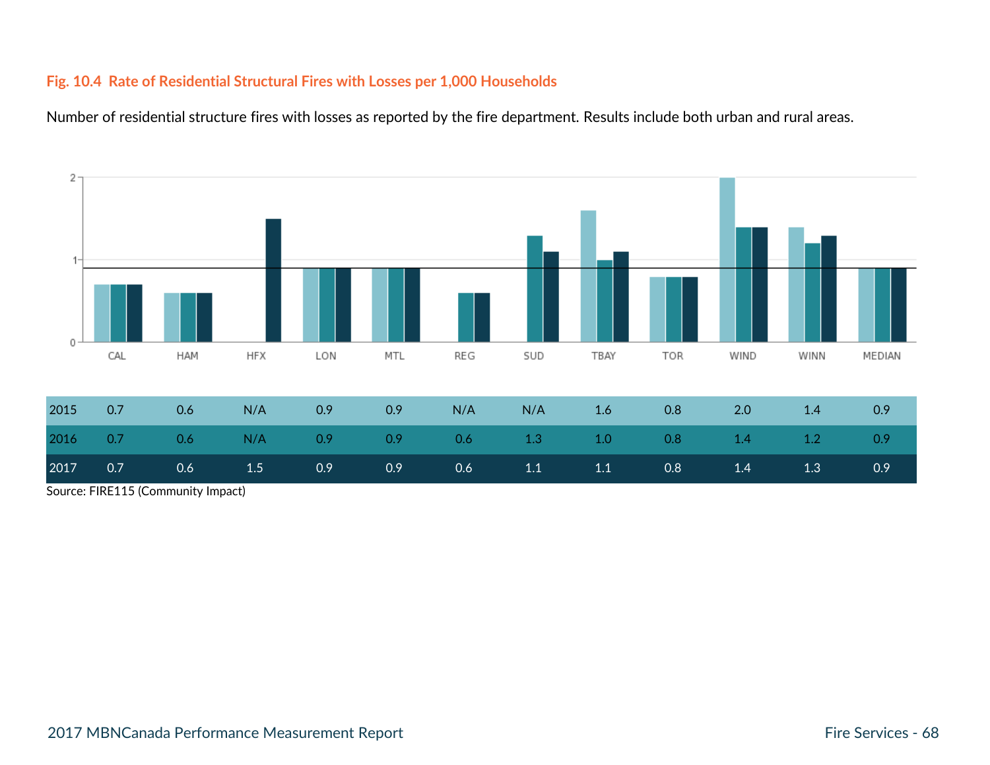#### **Fig. 10.4 Rate of Residential Structural Fires with Losses per 1,000 Households**

Number of residential structure fires with losses as reported by the fire department. Results include both urban and rural areas.



Source: FIRE115 (Community Impact)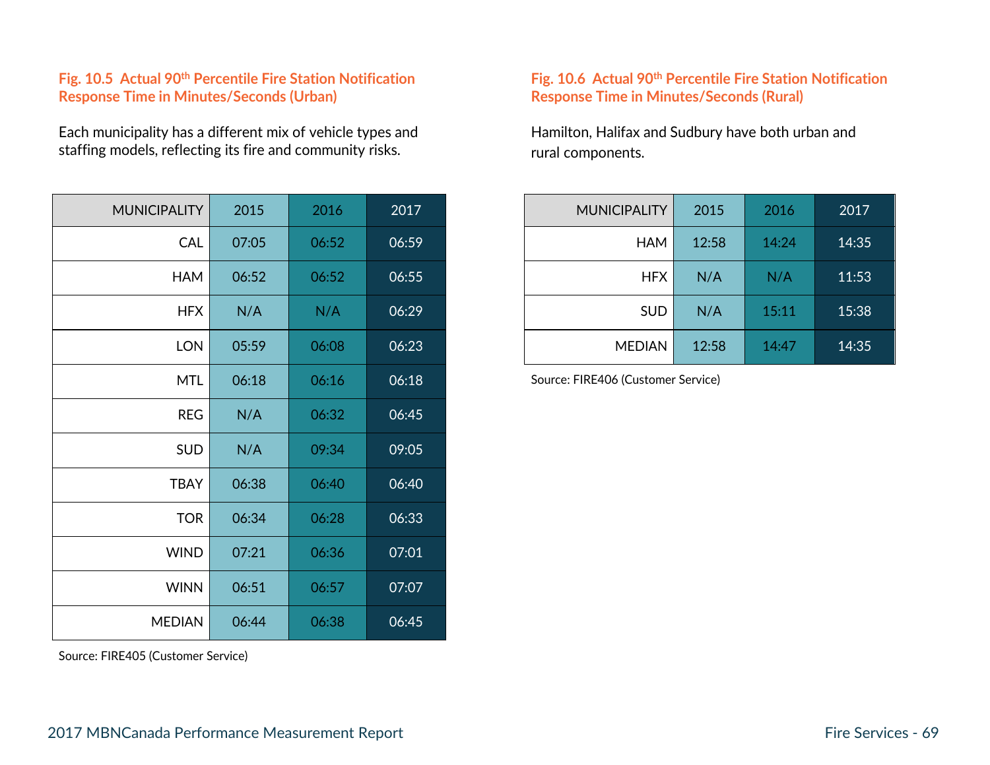#### **Fig. 10.5 Actual 90th Percentile Fire Station Notification Response Time in Minutes/Seconds (Urban)**

Each municipality has a different mix of vehicle types and staffing models, reflecting its fire and community risks.

| <b>MUNICIPALITY</b> | 2015  | 2016  | 2017  |
|---------------------|-------|-------|-------|
| CAL                 | 07:05 | 06:52 | 06:59 |
| <b>HAM</b>          | 06:52 | 06:52 | 06:55 |
| <b>HFX</b>          | N/A   | N/A   | 06:29 |
| <b>LON</b>          | 05:59 | 06:08 | 06:23 |
| <b>MTL</b>          | 06:18 | 06:16 | 06:18 |
| <b>REG</b>          | N/A   | 06:32 | 06:45 |
| <b>SUD</b>          | N/A   | 09:34 | 09:05 |
| <b>TBAY</b>         | 06:38 | 06:40 | 06:40 |
| <b>TOR</b>          | 06:34 | 06:28 | 06:33 |
| <b>WIND</b>         | 07:21 | 06:36 | 07:01 |
| <b>WINN</b>         | 06:51 | 06:57 | 07:07 |
| <b>MEDIAN</b>       | 06:44 | 06:38 | 06:45 |

Source: FIRE405 (Customer Service)

#### **Fig. 10.6 Actual 90th Percentile Fire Station Notification Response Time in Minutes/Seconds (Rural)**

Hamilton, Halifax and Sudbury have both urban and rural components.

| <b>MUNICIPALITY</b> | 2015  | 2016  | 2017  | MUNICIPALITY  | 2015  | 2016  | 2017  |
|---------------------|-------|-------|-------|---------------|-------|-------|-------|
| <b>CAL</b>          | 07:05 | 06:52 | 06:59 | HAM           | 12:58 | 14:24 | 14:35 |
| <b>HAM</b>          | 06:52 | 06:52 | 06:55 | <b>HFX</b>    | N/A   | N/A   | 11:53 |
| <b>HFX</b>          | N/A   | N/A   | 06:29 | SUD           | N/A   | 15:11 | 15:38 |
| <b>LON</b>          | 05:59 | 06:08 | 06:23 | <b>MEDIAN</b> | 12:58 | 14:47 | 14:35 |

Source: FIRE406 (Customer Service)